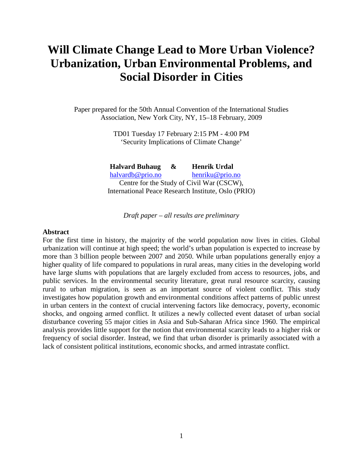# **Will Climate Change Lead to More Urban Violence? Urbanization, Urban Environmental Problems, and Social Disorder in Cities**

Paper prepared for the 50th Annual Convention of the International Studies Association, New York City, NY, 15–18 February, 2009

> TD01 Tuesday 17 February 2:15 PM - 4:00 PM 'Security Implications of Climate Change'

**Halvard Buhaug & Henrik Urdal**  halvardb@prio.no henriku@prio.no Centre for the Study of Civil War (CSCW), International Peace Research Institute, Oslo (PRIO)

*Draft paper – all results are preliminary* 

#### **Abstract**

For the first time in history, the majority of the world population now lives in cities. Global urbanization will continue at high speed; the world's urban population is expected to increase by more than 3 billion people between 2007 and 2050. While urban populations generally enjoy a higher quality of life compared to populations in rural areas, many cities in the developing world have large slums with populations that are largely excluded from access to resources, jobs, and public services. In the environmental security literature, great rural resource scarcity, causing rural to urban migration, is seen as an important source of violent conflict. This study investigates how population growth and environmental conditions affect patterns of public unrest in urban centers in the context of crucial intervening factors like democracy, poverty, economic shocks, and ongoing armed conflict. It utilizes a newly collected event dataset of urban social disturbance covering 55 major cities in Asia and Sub-Saharan Africa since 1960. The empirical analysis provides little support for the notion that environmental scarcity leads to a higher risk or frequency of social disorder. Instead, we find that urban disorder is primarily associated with a lack of consistent political institutions, economic shocks, and armed intrastate conflict.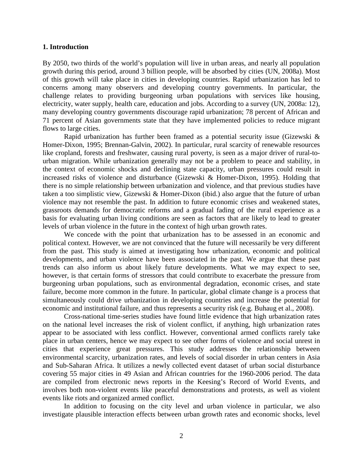#### **1. Introduction**

By 2050, two thirds of the world's population will live in urban areas, and nearly all population growth during this period, around 3 billion people, will be absorbed by cities (UN, 2008a). Most of this growth will take place in cities in developing countries. Rapid urbanization has led to concerns among many observers and developing country governments. In particular, the challenge relates to providing burgeoning urban populations with services like housing, electricity, water supply, health care, education and jobs. According to a survey (UN, 2008a: 12), many developing country governments discourage rapid urbanization; 78 percent of African and 71 percent of Asian governments state that they have implemented policies to reduce migrant flows to large cities.

 Rapid urbanization has further been framed as a potential security issue (Gizewski & Homer-Dixon, 1995; Brennan-Galvin, 2002). In particular, rural scarcity of renewable resources like cropland, forests and freshwater, causing rural poverty, is seen as a major driver of rural-tourban migration. While urbanization generally may not be a problem to peace and stability, in the context of economic shocks and declining state capacity, urban pressures could result in increased risks of violence and disturbance (Gizewski & Homer-Dixon, 1995). Holding that there is no simple relationship between urbanization and violence, and that previous studies have taken a too simplistic view, Gizewski & Homer-Dixon (ibid.) also argue that the future of urban violence may not resemble the past. In addition to future economic crises and weakened states, grassroots demands for democratic reforms and a gradual fading of the rural experience as a basis for evaluating urban living conditions are seen as factors that are likely to lead to greater levels of urban violence in the future in the context of high urban growth rates.

 We concede with the point that urbanization has to be assessed in an economic and political context. However, we are not convinced that the future will necessarily be very different from the past. This study is aimed at investigating how urbanization, economic and political developments, and urban violence have been associated in the past. We argue that these past trends can also inform us about likely future developments. What we may expect to see, however, is that certain forms of stressors that could contribute to exacerbate the pressure from burgeoning urban populations, such as environmental degradation, economic crises, and state failure, become more common in the future. In particular, global climate change is a process that simultaneously could drive urbanization in developing countries and increase the potential for economic and institutional failure, and thus represents a security risk (e.g. Buhaug et al., 2008).

Cross-national time-series studies have found little evidence that high urbanization rates on the national level increases the risk of violent conflict, if anything, high urbanization rates appear to be associated with less conflict. However, conventional armed conflicts rarely take place in urban centers, hence we may expect to see other forms of violence and social unrest in cities that experience great pressures. This study addresses the relationship between environmental scarcity, urbanization rates, and levels of social disorder in urban centers in Asia and Sub-Saharan Africa. It utilizes a newly collected event dataset of urban social disturbance covering 55 major cities in 49 Asian and African countries for the 1960-2006 period. The data are compiled from electronic news reports in the Keesing's Record of World Events, and involves both non-violent events like peaceful demonstrations and protests, as well as violent events like riots and organized armed conflict.

In addition to focusing on the city level and urban violence in particular, we also investigate plausible interaction effects between urban growth rates and economic shocks, level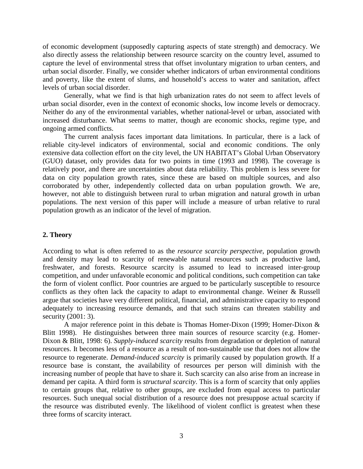of economic development (supposedly capturing aspects of state strength) and democracy. We also directly assess the relationship between resource scarcity on the country level, assumed to capture the level of environmental stress that offset involuntary migration to urban centers, and urban social disorder. Finally, we consider whether indicators of urban environmental conditions and poverty, like the extent of slums, and household's access to water and sanitation, affect levels of urban social disorder.

Generally, what we find is that high urbanization rates do not seem to affect levels of urban social disorder, even in the context of economic shocks, low income levels or democracy. Neither do any of the environmental variables, whether national-level or urban, associated with increased disturbance. What seems to matter, though are economic shocks, regime type, and ongoing armed conflicts.

The current analysis faces important data limitations. In particular, there is a lack of reliable city-level indicators of environmental, social and economic conditions. The only extensive data collection effort on the city level, the UN HABITAT's Global Urban Observatory (GUO) dataset, only provides data for two points in time (1993 and 1998). The coverage is relatively poor, and there are uncertainties about data reliability. This problem is less severe for data on city population growth rates, since these are based on multiple sources, and also corroborated by other, independently collected data on urban population growth. We are, however, not able to distinguish between rural to urban migration and natural growth in urban populations. The next version of this paper will include a measure of urban relative to rural population growth as an indicator of the level of migration.

### **2. Theory**

According to what is often referred to as the *resource scarcity perspective*, population growth and density may lead to scarcity of renewable natural resources such as productive land, freshwater, and forests. Resource scarcity is assumed to lead to increased inter-group competition, and under unfavorable economic and political conditions, such competition can take the form of violent conflict. Poor countries are argued to be particularly susceptible to resource conflicts as they often lack the capacity to adapt to environmental change. Weiner & Russell argue that societies have very different political, financial, and administrative capacity to respond adequately to increasing resource demands, and that such strains can threaten stability and security (2001: 3).

A major reference point in this debate is Thomas Homer-Dixon (1999; Homer-Dixon & Blitt 1998). He distinguishes between three main sources of resource scarcity (e.g. Homer-Dixon & Blitt, 1998: 6). *Supply-induced scarcity* results from degradation or depletion of natural resources. It becomes less of a resource as a result of non-sustainable use that does not allow the resource to regenerate. *Demand-induced scarcity* is primarily caused by population growth. If a resource base is constant, the availability of resources per person will diminish with the increasing number of people that have to share it. Such scarcity can also arise from an increase in demand per capita. A third form is *structural scarcity*. This is a form of scarcity that only applies to certain groups that, relative to other groups, are excluded from equal access to particular resources. Such unequal social distribution of a resource does not presuppose actual scarcity if the resource was distributed evenly. The likelihood of violent conflict is greatest when these three forms of scarcity interact.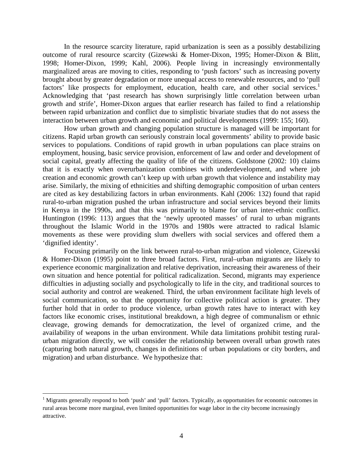In the resource scarcity literature, rapid urbanization is seen as a possibly destabilizing outcome of rural resource scarcity (Gizewski & Homer-Dixon, 1995; Homer-Dixon & Blitt, 1998; Homer-Dixon, 1999; Kahl, 2006). People living in increasingly environmentally marginalized areas are moving to cities, responding to 'push factors' such as increasing poverty brought about by greater degradation or more unequal access to renewable resources, and to 'pull factors' like prospects for employment, education, health care, and other social services.<sup>1</sup> Acknowledging that 'past research has shown surprisingly little correlation between urban growth and strife', Homer-Dixon argues that earlier research has failed to find a relationship between rapid urbanization and conflict due to simplistic bivariate studies that do not assess the interaction between urban growth and economic and political developments (1999: 155; 160).

How urban growth and changing population structure is managed will be important for citizens. Rapid urban growth can seriously constrain local governments' ability to provide basic services to populations. Conditions of rapid growth in urban populations can place strains on employment, housing, basic service provision, enforcement of law and order and development of social capital, greatly affecting the quality of life of the citizens. Goldstone (2002: 10) claims that it is exactly when overurbanization combines with underdevelopment, and where job creation and economic growth can't keep up with urban growth that violence and instability may arise. Similarly, the mixing of ethnicities and shifting demographic composition of urban centers are cited as key destabilizing factors in urban environments. Kahl (2006: 132) found that rapid rural-to-urban migration pushed the urban infrastructure and social services beyond their limits in Kenya in the 1990s, and that this was primarily to blame for urban inter-ethnic conflict. Huntington (1996: 113) argues that the 'newly uprooted masses' of rural to urban migrants throughout the Islamic World in the 1970s and 1980s were attracted to radical Islamic movements as these were providing slum dwellers with social services and offered them a 'dignified identity'.

Focusing primarily on the link between rural-to-urban migration and violence, Gizewski & Homer-Dixon (1995) point to three broad factors. First, rural–urban migrants are likely to experience economic marginalization and relative deprivation, increasing their awareness of their own situation and hence potential for political radicalization. Second, migrants may experience difficulties in adjusting socially and psychologically to life in the city, and traditional sources to social authority and control are weakened. Third, the urban environment facilitate high levels of social communication, so that the opportunity for collective political action is greater. They further hold that in order to produce violence, urban growth rates have to interact with key factors like economic crises, institutional breakdown, a high degree of communalism or ethnic cleavage, growing demands for democratization, the level of organized crime, and the availability of weapons in the urban environment. While data limitations prohibit testing ruralurban migration directly, we will consider the relationship between overall urban growth rates (capturing both natural growth, changes in definitions of urban populations or city borders, and migration) and urban disturbance. We hypothesize that:

<u>.</u>

<sup>&</sup>lt;sup>1</sup> Migrants generally respond to both 'push' and 'pull' factors. Typically, as opportunities for economic outcomes in rural areas become more marginal, even limited opportunities for wage labor in the city become increasingly attractive.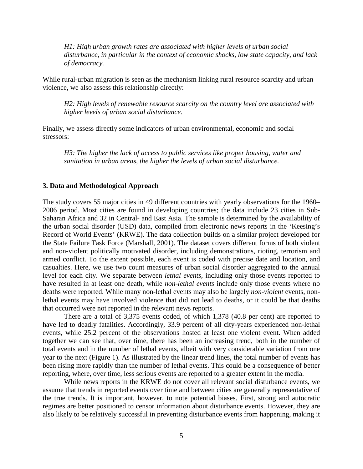*H1: High urban growth rates are associated with higher levels of urban social disturbance, in particular in the context of economic shocks, low state capacity, and lack of democracy.* 

While rural-urban migration is seen as the mechanism linking rural resource scarcity and urban violence, we also assess this relationship directly:

*H2: High levels of renewable resource scarcity on the country level are associated with higher levels of urban social disturbance.* 

Finally, we assess directly some indicators of urban environmental, economic and social stressors:

*H3: The higher the lack of access to public services like proper housing, water and sanitation in urban areas, the higher the levels of urban social disturbance.* 

#### **3. Data and Methodological Approach**

The study covers 55 major cities in 49 different countries with yearly observations for the 1960– 2006 period. Most cities are found in developing countries; the data include 23 cities in Sub-Saharan Africa and 32 in Central- and East Asia. The sample is determined by the availability of the urban social disorder (USD) data, compiled from electronic news reports in the 'Keesing's Record of World Events' (KRWE). The data collection builds on a similar project developed for the State Failure Task Force (Marshall, 2001). The dataset covers different forms of both violent and non-violent politically motivated disorder, including demonstrations, rioting, terrorism and armed conflict. To the extent possible, each event is coded with precise date and location, and casualties. Here, we use two count measures of urban social disorder aggregated to the annual level for each city. We separate between *lethal events,* including only those events reported to have resulted in at least one death, while *non-lethal events* include only those events where no deaths were reported. While many non-lethal events may also be largely *non-violent* events, nonlethal events may have involved violence that did not lead to deaths, or it could be that deaths that occurred were not reported in the relevant news reports.

There are a total of 3,375 events coded, of which 1,378 (40.8 per cent) are reported to have led to deadly fatalities. Accordingly, 33.9 percent of all city-years experienced non-lethal events, while 25.2 percent of the observations hosted at least one violent event. When added together we can see that, over time, there has been an increasing trend, both in the number of total events and in the number of lethal events, albeit with very considerable variation from one year to the next (Figure 1). As illustrated by the linear trend lines, the total number of events has been rising more rapidly than the number of lethal events. This could be a consequence of better reporting, where, over time, less serious events are reported to a greater extent in the media.

While news reports in the KRWE do not cover all relevant social disturbance events, we assume that trends in reported events over time and between cities are generally representative of the true trends. It is important, however, to note potential biases. First, strong and autocratic regimes are better positioned to censor information about disturbance events. However, they are also likely to be relatively successful in preventing disturbance events from happening, making it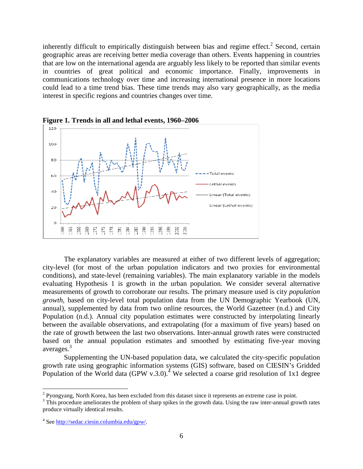inherently difficult to empirically distinguish between bias and regime effect.<sup>2</sup> Second, certain geographic areas are receiving better media coverage than others. Events happening in countries that are low on the international agenda are arguably less likely to be reported than similar events in countries of great political and economic importance. Finally, improvements in communications technology over time and increasing international presence in more locations could lead to a time trend bias. These time trends may also vary geographically, as the media interest in specific regions and countries changes over time.



**Figure 1. Trends in all and lethal events, 1960–2006** 

The explanatory variables are measured at either of two different levels of aggregation; city-level (for most of the urban population indicators and two proxies for environmental conditions), and state-level (remaining variables). The main explanatory variable in the models evaluating Hypothesis 1 is growth in the urban population. We consider several alternative measurements of growth to corroborate our results. The primary measure used is city *population growth*, based on city-level total population data from the UN Demographic Yearbook (UN, annual), supplemented by data from two online resources, the World Gazetteer (n.d.) and City Population (n.d.). Annual city population estimates were constructed by interpolating linearly between the available observations, and extrapolating (for a maximum of five years) based on the rate of growth between the last two observations. Inter-annual growth rates were constructed based on the annual population estimates and smoothed by estimating five-year moving averages. 3

Supplementing the UN-based population data, we calculated the city-specific population growth rate using geographic information systems (GIS) software, based on CIESIN's Gridded Population of the World data (GPW v.3.0).<sup>4</sup> We selected a coarse grid resolution of 1x1 degree

<u>.</u>

<sup>&</sup>lt;sup>2</sup> Pyongyang, North Korea, has been excluded from this dataset since it represents an extreme case in point.

 $3$  This procedure ameliorates the problem of sharp spikes in the growth data. Using the raw inter-annual growth rates produce virtually identical results.

<sup>&</sup>lt;sup>4</sup> See http://sedac.ciesin.columbia.edu/gpw/.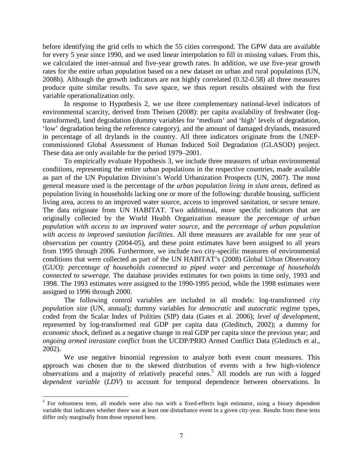before identifying the grid cells to which the 55 cities correspond. The GPW data are available for every 5 year since 1990, and we used linear interpolation to fill in missing values. From this, we calculated the inter-annual and five-year growth rates. In addition, we use five-year growth rates for the entire urban population based on a new dataset on urban and rural populations (UN, 2008b). Although the growth indicators are not highly correlated (0.32-0.58) all three measures produce quite similar results. To save space, we thus report results obtained with the first variable operationalization only.

In response to Hypothesis 2, we use three complementary national-level indicators of environmental scarcity, derived from Theisen (2008): per capita availability of freshwater (logtransformed), land degradation (dummy variables for 'medium' and 'high' levels of degradation, 'low' degradation being the reference category), and the amount of damaged drylands, measured in percentage of all drylands in the country. All three indicators originate from the UNEPcommissioned Global Assessment of Human Induced Soil Degradation (GLASOD) project. These data are only available for the period 1979–2001.

To empirically evaluate Hypothesis 3, we include three measures of urban environmental conditions, representing the entire urban populations in the respective countries, made available as part of the UN Population Division's World Urbanization Prospects (UN, 2007). The most general measure used is the percentage of the *urban population living in slum areas*, defined as population living in households lacking one or more of the following: durable housing, sufficient living area, access to an improved water source, access to improved sanitation, or secure tenure. The data originate from UN HABITAT. Two additional, more specific indicators that are originally collected by the World Health Organization measure the *percentage of urban population with access to an improved water source*, and the *percentage of urban population with access to improved sanitation facilities*. All three measures are available for one year of observation per country (2004-05), and these point estimates have been assigned to all years from 1995 through 2006. Furthermore, we include two city-specific measures of environmental conditions that were collected as part of the UN HABITAT's (2008) Global Urban Observatory (GUO): *percentage of households connected to piped water* and *percentage of households connected to sewerage*. The database provides estimates for two points in time only, 1993 and 1998. The 1993 estimates were assigned to the 1990-1995 period, while the 1998 estimates were assigned to 1996 through 2000.

 The following control variables are included in all models: log-transformed *city population size* (UN, annual); dummy variables for *democratic* and *autocratic* regime types, coded from the Scalar Index of Polities (SIP) data (Gates et al. 2006); *level of development*, represented by log-transformed real GDP per capita data (Gleditsch, 2002); a dummy for *economic shock*, defined as a negative change in real GDP per capita since the previous year; and *ongoing armed intrastate conflict* from the UCDP/PRIO Armed Conflict Data (Gleditsch et al., 2002).

We use negative binomial regression to analyze both event count measures. This approach was chosen due to the skewed distribution of events with a few high-violence observations and a majority of relatively peaceful ones.<sup>5</sup> All models are run with a *lagged dependent variable* (*LDV*) to account for temporal dependence between observations. In

<sup>&</sup>lt;sup>5</sup> For robustness tests, all models were also run with a fixed-effects logit estimator, using a binary dependent variable that indicates whether there was at least one disturbance event in a given city-year. Results from these tests differ only marginally from those reported here.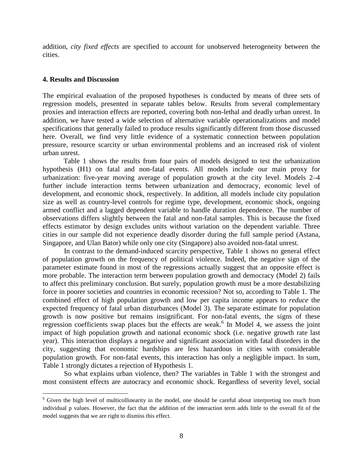addition, *city fixed effects* are specified to account for unobserved heterogeneity between the cities.

#### **4. Results and Discussion**

<u>.</u>

The empirical evaluation of the proposed hypotheses is conducted by means of three sets of regression models, presented in separate tables below. Results from several complementary proxies and interaction effects are reported, covering both non-lethal and deadly urban unrest. In addition, we have tested a wide selection of alternative variable operationalizations and model specifications that generally failed to produce results significantly different from those discussed here. Overall, we find very little evidence of a systematic connection between population pressure, resource scarcity or urban environmental problems and an increased risk of violent urban unrest.

Table 1 shows the results from four pairs of models designed to test the urbanization hypothesis (H1) on fatal and non-fatal events. All models include our main proxy for urbanization: five-year moving average of population growth at the city level. Models 2–4 further include interaction terms between urbanization and democracy, economic level of development, and economic shock, respectively. In addition, all models include city population size as well as country-level controls for regime type, development, economic shock, ongoing armed conflict and a lagged dependent variable to handle duration dependence. The number of observations differs slightly between the fatal and non-fatal samples. This is because the fixed effects estimator by design excludes units without variation on the dependent variable. Three cities in our sample did not experience deadly disorder during the full sample period (Astana, Singapore, and Ulan Bator) while only one city (Singapore) also avoided non-fatal unrest.

In contrast to the demand-induced scarcity perspective, Table 1 shows no general effect of population growth on the frequency of political violence. Indeed, the negative sign of the parameter estimate found in most of the regressions actually suggest that an opposite effect is more probable. The interaction term between population growth and democracy (Model 2) fails to affect this preliminary conclusion. But surely, population growth must be a more destabilizing force in poorer societies and countries in economic recession? Not so, according to Table 1. The combined effect of high population growth and low per capita income appears to *reduce* the expected frequency of fatal urban disturbances (Model 3). The separate estimate for population growth is now positive but remains insignificant. For non-fatal events, the signs of these regression coefficients swap places but the effects are weak.<sup>6</sup> In Model 4, we assess the joint impact of high population growth and national economic shock (i.e. negative growth rate last year). This interaction displays a negative and significant association with fatal disorders in the city, suggesting that economic hardships are less hazardous in cities with considerable population growth. For non-fatal events, this interaction has only a negligible impact. In sum, Table 1 strongly dictates a rejection of Hypothesis 1.

So what explains urban violence, then? The variables in Table 1 with the strongest and most consistent effects are autocracy and economic shock. Regardless of severity level, social

<sup>&</sup>lt;sup>6</sup> Given the high level of multicollinearity in the model, one should be careful about interpreting too much from individual p values. However, the fact that the addition of the interaction term adds little to the overall fit of the model suggests that we are right to dismiss this effect.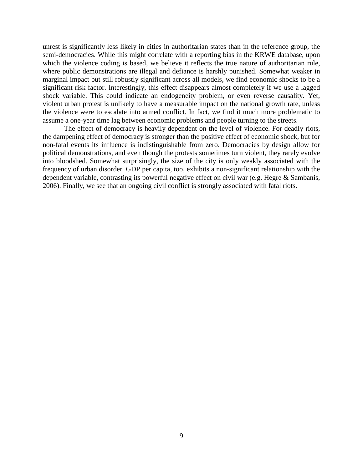unrest is significantly less likely in cities in authoritarian states than in the reference group, the semi-democracies. While this might correlate with a reporting bias in the KRWE database, upon which the violence coding is based, we believe it reflects the true nature of authoritarian rule, where public demonstrations are illegal and defiance is harshly punished. Somewhat weaker in marginal impact but still robustly significant across all models, we find economic shocks to be a significant risk factor. Interestingly, this effect disappears almost completely if we use a lagged shock variable. This could indicate an endogeneity problem, or even reverse causality. Yet, violent urban protest is unlikely to have a measurable impact on the national growth rate, unless the violence were to escalate into armed conflict. In fact, we find it much more problematic to assume a one-year time lag between economic problems and people turning to the streets.

The effect of democracy is heavily dependent on the level of violence. For deadly riots, the dampening effect of democracy is stronger than the positive effect of economic shock, but for non-fatal events its influence is indistinguishable from zero. Democracies by design allow for political demonstrations, and even though the protests sometimes turn violent, they rarely evolve into bloodshed. Somewhat surprisingly, the size of the city is only weakly associated with the frequency of urban disorder. GDP per capita, too, exhibits a non-significant relationship with the dependent variable, contrasting its powerful negative effect on civil war (e.g. Hegre & Sambanis, 2006). Finally, we see that an ongoing civil conflict is strongly associated with fatal riots.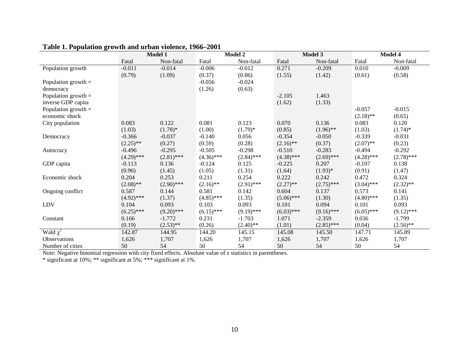|                            |              | Model 1      |              | Model 2      |              | Model 3      |              | Model 4      |  |
|----------------------------|--------------|--------------|--------------|--------------|--------------|--------------|--------------|--------------|--|
|                            | Fatal        | Non-fatal    | Fatal        | Non-fatal    | Fatal        | Non-fatal    | Fatal        | Non-fatal    |  |
| Population growth          | $-0.011$     | $-0.014$     | $-0.006$     | $-0.012$     | 0.271        | $-0.209$     | 0.010        | $-0.009$     |  |
|                            | (0.79)       | (1.09)       | (0.37)       | (0.86)       | (1.55)       | (1.42)       | (0.61)       | (0.58)       |  |
| Population growth $\times$ |              |              | $-0.056$     | $-0.024$     |              |              |              |              |  |
| democracy                  |              |              | (1.26)       | (0.63)       |              |              |              |              |  |
| Population growth $\times$ |              |              |              |              | $-2.105$     | 1.463        |              |              |  |
| inverse GDP capita         |              |              |              |              | (1.62)       | (1.33)       |              |              |  |
| Population growth $\times$ |              |              |              |              |              |              | $-0.057$     | $-0.015$     |  |
| economic shock             |              |              |              |              |              |              | $(2.18)$ **  | (0.65)       |  |
| City population            | 0.083        | 0.122        | 0.081        | 0.123        | 0.070        | 0.136        | 0.083        | 0.120        |  |
|                            | (1.03)       | $(1.78)$ *   | (1.00)       | $(1.79)^*$   | (0.85)       | $(1.96)$ **  | (1.03)       | $(1.74)$ *   |  |
| Democracy                  | $-0.366$     | $-0.037$     | $-0.140$     | 0.056        | $-0.354$     | $-0.050$     | $-0.339$     | $-0.031$     |  |
|                            | $(2.25)$ **  | (0.27)       | (0.59)       | (0.28)       | $(2.16)$ **  | (0.37)       | $(2.07)$ **  | (0.23)       |  |
| Autocracy                  | $-0.496$     | $-0.295$     | $-0.505$     | $-0.298$     | $-0.510$     | $-0.283$     | $-0.494$     | $-0.292$     |  |
|                            | $(4.29)$ *** | $(2.81)$ *** | $(4.36)$ *** | $(2.84)$ *** | $(4.38)$ *** | $(2.69)$ *** | $(4.28)$ *** | $(2.78)$ *** |  |
| GDP capita                 | $-0.113$     | 0.136        | $-0.124$     | 0.125        | $-0.225$     | 0.207        | $-0.107$     | 0.138        |  |
|                            | (0.96)       | (1.45)       | (1.05)       | (1.31)       | (1.64)       | $(1.93)*$    | (0.91)       | (1.47)       |  |
| Economic shock             | 0.204        | 0.253        | 0.211        | 0.254        | 0.222        | 0.242        | 0.472        | 0.324        |  |
|                            | $(2.08)$ **  | $(2.90)$ *** | $(2.16)$ **  | $(2.91)$ *** | $(2.27)$ **  | $(2.75)$ *** | $(3.04)$ *** | $(2.32)$ **  |  |
| Ongoing conflict           | 0.587        | 0.144        | 0.581        | 0.142        | 0.604        | 0.137        | 0.573        | 0.141        |  |
|                            | $(4.92)$ *** | (1.37)       | $(4.85)$ *** | (1.35)       | $(5.06)$ *** | (1.30)       | $(4.80)$ *** | (1.35)       |  |
| LDV                        | 0.104        | 0.093        | 0.103        | 0.093        | 0.101        | 0.094        | 0.101        | 0.093        |  |
|                            | $(6.25)$ *** | $(9.20)$ *** | $(6.15)$ *** | $(9.19)$ *** | $(6.03)$ *** | $(9.16)$ *** | $(6.05)$ *** | $(9.12)$ *** |  |
| Constant                   | 0.166        | $-1.772$     | 0.231        | $-1.703$     | 1.071        | $-2.359$     | 0.036        | $-1.799$     |  |
|                            | (0.19)       | $(2.53)$ **  | (0.26)       | $(2.40)$ **  | (1.01)       | $(2.85)$ *** | (0.04)       | $(2.56)$ **  |  |
| Wald $\chi^2$              | 142.87       | 144.95       | 144.20       | 145.15       | 145.08       | 145.50       | 147.71       | 145.89       |  |
| Observations               | 1,626        | 1,707        | 1,626        | 1,707        | 1,626        | 1,707        | 1,626        | 1,707        |  |
| Number of cities           | 50           | 54           | 50           | 54           | 50           | 54           | 50           | 54           |  |

# **Table 1. Population growth and urban violence, 1966–2001**

Note: Negative binomial regression with city fixed effects. Absolute value of z statistics in parentheses. \* significant at 10%; \*\* significant at 5%; \*\*\* significant at 1%.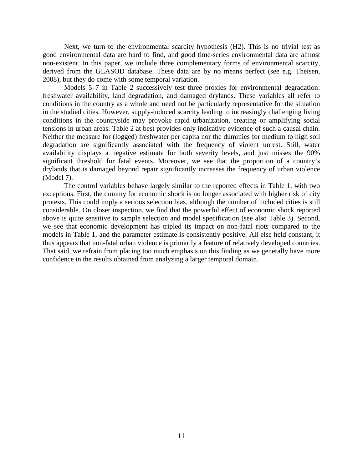Next, we turn to the environmental scarcity hypothesis (H2). This is no trivial test as good environmental data are hard to find, and good time-series environmental data are almost non-existent. In this paper, we include three complementary forms of environmental scarcity, derived from the GLASOD database. These data are by no means perfect (see e.g. Theisen, 2008), but they do come with some temporal variation.

Models 5–7 in Table 2 successively test three proxies for environmental degradation: freshwater availability, land degradation, and damaged drylands. These variables all refer to conditions in the country as a whole and need not be particularly representative for the situation in the studied cities. However, supply-induced scarcity leading to increasingly challenging living conditions in the countryside may provoke rapid urbanization, creating or amplifying social tensions in urban areas. Table 2 at best provides only indicative evidence of such a causal chain. Neither the measure for (logged) freshwater per capita nor the dummies for medium to high soil degradation are significantly associated with the frequency of violent unrest. Still, water availability displays a negative estimate for both severity levels, and just misses the 90% significant threshold for fatal events. Moreover, we see that the proportion of a country's drylands that is damaged beyond repair significantly increases the frequency of urban violence (Model 7).

The control variables behave largely similar to the reported effects in Table 1, with two exceptions. First, the dummy for economic shock is no longer associated with higher risk of city protests. This could imply a serious selection bias, although the number of included cities is still considerable. On closer inspection, we find that the powerful effect of economic shock reported above is quite sensitive to sample selection and model specification (see also Table 3). Second, we see that economic development has tripled its impact on non-fatal riots compared to the models in Table 1, and the parameter estimate is consistently positive. All else held constant, it thus appears that non-fatal urban violence is primarily a feature of relatively developed countries. That said, we refrain from placing too much emphasis on this finding as we generally have more confidence in the results obtained from analyzing a larger temporal domain.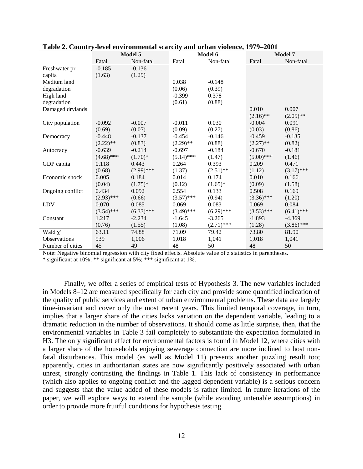|                  |              | re , er em , m ommenen seur en<br>Model 5 |              | $\cdots$ $\cdots$<br>Model 6 | Model 7      |              |  |
|------------------|--------------|-------------------------------------------|--------------|------------------------------|--------------|--------------|--|
|                  | Fatal        | Non-fatal                                 | Fatal        | Non-fatal                    | Fatal        | Non-fatal    |  |
| Freshwater pr    | $-0.185$     | $-0.136$                                  |              |                              |              |              |  |
| capita           | (1.63)       | (1.29)                                    |              |                              |              |              |  |
| Medium land      |              |                                           | 0.038        | $-0.148$                     |              |              |  |
| degradation      |              |                                           | (0.06)       | (0.39)                       |              |              |  |
| High land        |              |                                           | $-0.399$     | 0.378                        |              |              |  |
| degradation      |              |                                           | (0.61)       | (0.88)                       |              |              |  |
| Damaged drylands |              |                                           |              |                              | 0.010        | 0.007        |  |
|                  |              |                                           |              |                              | $(2.16)$ **  | $(2.05)$ **  |  |
| City population  | $-0.092$     | $-0.007$                                  | $-0.011$     | 0.030                        | $-0.004$     | 0.091        |  |
|                  | (0.69)       | (0.07)                                    | (0.09)       | (0.27)                       | (0.03)       | (0.86)       |  |
| Democracy        | $-0.448$     | $-0.137$                                  | $-0.454$     | $-0.146$                     | $-0.459$     | $-0.135$     |  |
|                  | $(2.22)$ **  | (0.83)                                    | $(2.29)$ **  | (0.88)                       | $(2.27)$ **  | (0.82)       |  |
| Autocracy        | $-0.639$     | $-0.214$                                  | $-0.697$     | $-0.184$                     | $-0.670$     | $-0.181$     |  |
|                  | $(4.68)$ *** | $(1.70)*$                                 | $(5.14)$ *** | (1.47)                       | $(5.00)$ *** | (1.46)       |  |
| GDP capita       | 0.118        | 0.443                                     | 0.264        | 0.393                        | 0.209        | 0.471        |  |
|                  | (0.68)       | $(2.99)$ ***                              | (1.37)       | $(2.51)$ **                  | (1.12)       | $(3.17)$ *** |  |
| Economic shock   | 0.005        | 0.184                                     | 0.014        | 0.174                        | 0.010        | 0.166        |  |
|                  | (0.04)       | $(1.75)^*$                                | (0.12)       | $(1.65)^*$                   | (0.09)       | (1.58)       |  |
| Ongoing conflict | 0.434        | 0.092                                     | 0.554        | 0.133                        | 0.508        | 0.169        |  |
|                  | $(2.93)$ *** | (0.66)                                    | $(3.57)$ *** | (0.94)                       | $(3.36)$ *** | (1.20)       |  |
| LDV              | 0.070        | 0.085                                     | 0.069        | 0.083                        | 0.069        | 0.084        |  |
|                  | $(3.54)$ *** | $(6.33)$ ***                              | $(3.49)$ *** | $(6.29)$ ***                 | $(3.53)$ *** | $(6.41)$ *** |  |
| Constant         | 1.217        | $-2.234$                                  | $-1.645$     | $-3.265$                     | $-1.893$     | $-4.369$     |  |
|                  | (0.76)       | (1.55)                                    | (1.08)       | $(2.71)$ ***                 | (1.28)       | $(3.86)$ *** |  |
| Wald $\chi^2$    | 63.11        | 74.88                                     | 71.09        | 79.42                        | 73.80        | 81.90        |  |
| Observations     | 939          | 1,006                                     | 1,018        | 1,041                        | 1,018        | 1,041        |  |
| Number of cities | 45           | 49                                        | 48           | 50                           | 48           | 50           |  |

|  | Table 2. Country-level environmental scarcity and urban violence, 1979–2001 |
|--|-----------------------------------------------------------------------------|
|  |                                                                             |

Note: Negative binomial regression with city fixed effects. Absolute value of z statistics in parentheses.

\* significant at 10%; \*\* significant at 5%; \*\*\* significant at 1%.

Finally, we offer a series of empirical tests of Hypothesis 3. The new variables included in Models 8–12 are measured specifically for each city and provide some quantified indication of the quality of public services and extent of urban environmental problems. These data are largely time-invariant and cover only the most recent years. This limited temporal coverage, in turn, implies that a larger share of the cities lacks variation on the dependent variable, leading to a dramatic reduction in the number of observations. It should come as little surprise, then, that the environmental variables in Table 3 fail completely to substantiate the expectation formulated in H3. The only significant effect for environmental factors is found in Model 12, where cities with a larger share of the households enjoying sewerage connection are more inclined to host nonfatal disturbances. This model (as well as Model 11) presents another puzzling result too; apparently, cities in authoritarian states are now significantly positively associated with urban unrest, strongly contrasting the findings in Table 1. This lack of consistency in performance (which also applies to ongoing conflict and the lagged dependent variable) is a serious concern and suggests that the value added of these models is rather limited. In future iterations of the paper, we will explore ways to extend the sample (while avoiding untenable assumptions) in order to provide more fruitful conditions for hypothesis testing.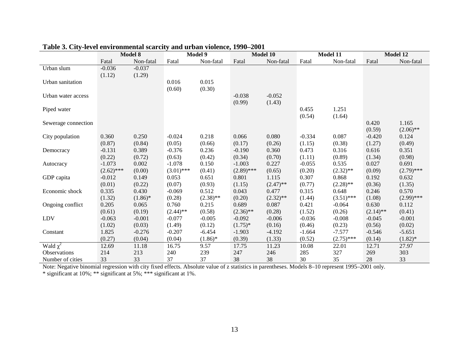|                     | Model 8                  |                 | Model 9                  |                 | Model 10              |                 | Model 11        |                      | Model 12        |                       |
|---------------------|--------------------------|-----------------|--------------------------|-----------------|-----------------------|-----------------|-----------------|----------------------|-----------------|-----------------------|
|                     | Fatal                    | Non-fatal       | Fatal                    | Non-fatal       | Fatal                 | Non-fatal       | Fatal           | Non-fatal            | Fatal           | Non-fatal             |
| Urban slum          | $-0.036$                 | $-0.037$        |                          |                 |                       |                 |                 |                      |                 |                       |
|                     | (1.12)                   | (1.29)          |                          |                 |                       |                 |                 |                      |                 |                       |
| Urban sanitation    |                          |                 | 0.016                    | 0.015           |                       |                 |                 |                      |                 |                       |
|                     |                          |                 | (0.60)                   | (0.30)          |                       |                 |                 |                      |                 |                       |
| Urban water access  |                          |                 |                          |                 | $-0.038$              | $-0.052$        |                 |                      |                 |                       |
|                     |                          |                 |                          |                 | (0.99)                | (1.43)          |                 |                      |                 |                       |
| Piped water         |                          |                 |                          |                 |                       |                 | 0.455           | 1.251                |                 |                       |
|                     |                          |                 |                          |                 |                       |                 | (0.54)          | (1.64)               |                 |                       |
| Sewerage connection |                          |                 |                          |                 |                       |                 |                 |                      | 0.420           | 1.165                 |
|                     |                          |                 |                          |                 |                       |                 |                 |                      | (0.59)          | $(2.06)$ **           |
| City population     | 0.360                    | 0.250           | $-0.024$                 | 0.218           | 0.066                 | 0.080           | $-0.334$        | 0.087                | $-0.420$        | 0.124                 |
|                     | (0.87)                   | (0.84)          | (0.05)                   | (0.66)          | (0.17)                | (0.26)          | (1.15)          | (0.38)               | (1.27)          | (0.49)                |
| Democracy           | $-0.131$                 | 0.389           | $-0.376$                 | 0.236           | $-0.190$              | 0.360           | 0.473           | 0.316                | 0.616           | 0.351                 |
|                     | (0.22)                   | (0.72)          | (0.63)                   | (0.42)          | (0.34)                | (0.70)          | (1.11)          | (0.89)               | (1.34)          | (0.98)                |
| Autocracy           | $-1.073$                 | 0.002           | $-1.078$<br>$(3.01)$ *** | 0.150           | $-1.003$              | 0.227           | $-0.055$        | 0.535                | 0.027           | 0.691                 |
| GDP capita          | $(2.62)$ ***<br>$-0.012$ | (0.00)<br>0.149 | 0.053                    | (0.41)<br>0.651 | $(2.89)$ ***<br>0.801 | (0.65)<br>1.115 | (0.20)<br>0.307 | $(2.32)$ **<br>0.868 | (0.09)<br>0.192 | $(2.79)$ ***<br>0.632 |
|                     | (0.01)                   | (0.22)          | (0.07)                   | (0.93)          | (1.15)                | $(2.47)$ **     | (0.77)          | $(2.28)$ **          | (0.36)          | (1.35)                |
| Economic shock      | 0.335                    | 0.430           | $-0.069$                 | 0.512           | 0.043                 | 0.477           | 0.315           | 0.648                | 0.246           | 0.570                 |
|                     | (1.32)                   | $(1.86)$ *      | (0.28)                   | $(2.38)$ **     | (0.20)                | $(2.32)$ **     | (1.44)          | $(3.51)$ ***         | (1.08)          | $(2.99)$ ***          |
| Ongoing conflict    | 0.205                    | 0.065           | 0.760                    | 0.215           | 0.689                 | 0.087           | 0.421           | $-0.064$             | 0.630           | 0.112                 |
|                     | (0.61)                   | (0.19)          | $(2.44)$ **              | (0.58)          | $(2.36)$ **           | (0.28)          | (1.52)          | (0.26)               | $(2.14)$ **     | (0.41)                |
| LDV                 | $-0.063$                 | $-0.001$        | $-0.077$                 | $-0.005$        | $-0.092$              | $-0.006$        | $-0.036$        | $-0.008$             | $-0.045$        | $-0.001$              |
|                     | (1.02)                   | (0.03)          | (1.49)                   | (0.12)          | $(1.75)^*$            | (0.16)          | (0.46)          | (0.23)               | (0.56)          | (0.02)                |
| Constant            | 1.825                    | $-0.276$        | $-0.207$                 | $-6.454$        | $-1.903$              | $-4.192$        | $-1.664$        | $-7.577$             | $-0.546$        | $-5.651$              |
|                     | (0.27)                   | (0.04)          | (0.04)                   | $(1.86)^*$      | (0.39)                | (1.33)          | (0.52)          | $(2.75)$ ***         | (0.14)          | $(1.82)$ *            |
| Wald $\chi^2$       | 12.69                    | 11.18           | 16.75                    | 9.57            | 17.75                 | 11.23           | 10.08           | 22.01                | 12.71           | 27.97                 |
| Observations        | 214                      | 213             | 240                      | 239             | 247                   | 246             | 285             | 327                  | 269             | 303                   |
| Number of cities    | 33                       | 33              | 37                       | 37              | 38                    | 38              | 30              | 35                   | 28              | 33                    |

# **Table 3. City-level environmental scarcity and urban violence, 1990–2001**

Note: Negative binomial regression with city fixed effects. Absolute value of z statistics in parentheses. Models 8–10 represent 1995–2001 only.

\* significant at 10%; \*\* significant at 5%; \*\*\* significant at 1%.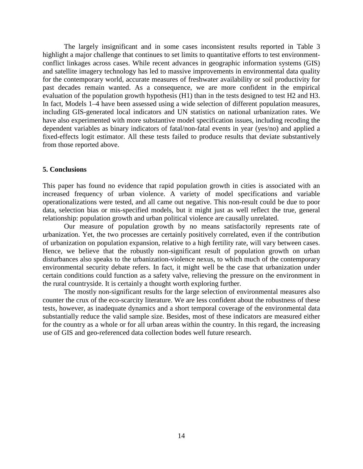The largely insignificant and in some cases inconsistent results reported in Table 3 highlight a major challenge that continues to set limits to quantitative efforts to test environmentconflict linkages across cases. While recent advances in geographic information systems (GIS) and satellite imagery technology has led to massive improvements in environmental data quality for the contemporary world, accurate measures of freshwater availability or soil productivity for past decades remain wanted. As a consequence, we are more confident in the empirical evaluation of the population growth hypothesis (H1) than in the tests designed to test H2 and H3. In fact, Models 1–4 have been assessed using a wide selection of different population measures, including GIS-generated local indicators and UN statistics on national urbanization rates. We have also experimented with more substantive model specification issues, including recoding the dependent variables as binary indicators of fatal/non-fatal events in year (yes/no) and applied a fixed-effects logit estimator. All these tests failed to produce results that deviate substantively from those reported above.

#### **5. Conclusions**

This paper has found no evidence that rapid population growth in cities is associated with an increased frequency of urban violence. A variety of model specifications and variable operationalizations were tested, and all came out negative. This non-result could be due to poor data, selection bias or mis-specified models, but it might just as well reflect the true, general relationship: population growth and urban political violence are causally unrelated.

Our measure of population growth by no means satisfactorily represents rate of urbanization. Yet, the two processes are certainly positively correlated, even if the contribution of urbanization on population expansion, relative to a high fertility rate, will vary between cases. Hence, we believe that the robustly non-significant result of population growth on urban disturbances also speaks to the urbanization-violence nexus, to which much of the contemporary environmental security debate refers. In fact, it might well be the case that urbanization under certain conditions could function as a safety valve, relieving the pressure on the environment in the rural countryside. It is certainly a thought worth exploring further.

The mostly non-significant results for the large selection of environmental measures also counter the crux of the eco-scarcity literature. We are less confident about the robustness of these tests, however, as inadequate dynamics and a short temporal coverage of the environmental data substantially reduce the valid sample size. Besides, most of these indicators are measured either for the country as a whole or for all urban areas within the country. In this regard, the increasing use of GIS and geo-referenced data collection bodes well future research.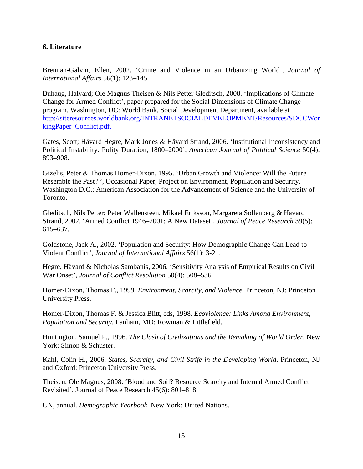## **6. Literature**

Brennan-Galvin, Ellen, 2002. 'Crime and Violence in an Urbanizing World', *Journal of International Affairs* 56(1): 123–145.

Buhaug, Halvard; Ole Magnus Theisen & Nils Petter Gleditsch, 2008. 'Implications of Climate Change for Armed Conflict', paper prepared for the Social Dimensions of Climate Change program. Washington, DC: World Bank, Social Development Department, available at http://siteresources.worldbank.org/INTRANETSOCIALDEVELOPMENT/Resources/SDCCWor kingPaper\_Conflict.pdf.

Gates, Scott; Håvard Hegre, Mark Jones & Håvard Strand, 2006. 'Institutional Inconsistency and Political Instability: Polity Duration, 1800–2000', *American Journal of Political Science* 50(4): 893–908.

Gizelis, Peter & Thomas Homer-Dixon, 1995. 'Urban Growth and Violence: Will the Future Resemble the Past? ', Occasional Paper, Project on Environment, Population and Security. Washington D.C.: American Association for the Advancement of Science and the University of Toronto.

Gleditsch, Nils Petter; Peter Wallensteen, Mikael Eriksson, Margareta Sollenberg & Håvard Strand, 2002. 'Armed Conflict 1946–2001: A New Dataset', *Journal of Peace Research* 39(5): 615–637.

Goldstone, Jack A., 2002. 'Population and Security: How Demographic Change Can Lead to Violent Conflict', *Journal of International Affairs* 56(1): 3-21.

Hegre, Håvard & Nicholas Sambanis, 2006. 'Sensitivity Analysis of Empirical Results on Civil War Onset', *Journal of Conflict Resolution* 50(4): 508–536.

Homer-Dixon, Thomas F., 1999. *Environment, Scarcity, and Violence*. Princeton, NJ: Princeton University Press.

Homer-Dixon, Thomas F. & Jessica Blitt, eds, 1998. *Ecoviolence: Links Among Environment, Population and Security*. Lanham, MD: Rowman & Littlefield.

Huntington, Samuel P., 1996. *The Clash of Civilizations and the Remaking of World Order*. New York: Simon & Schuster.

Kahl, Colin H., 2006. *States, Scarcity, and Civil Strife in the Developing World*. Princeton, NJ and Oxford: Princeton University Press.

Theisen, Ole Magnus, 2008. 'Blood and Soil? Resource Scarcity and Internal Armed Conflict Revisited', Journal of Peace Research 45(6): 801–818.

UN, annual. *Demographic Yearbook*. New York: United Nations.